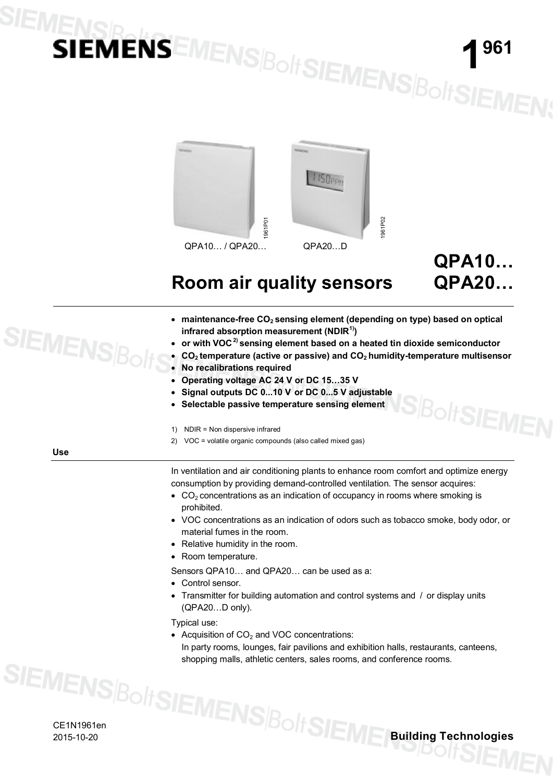# SIEMENSR

### **1 961**

**QPA20…**

**BoltSIEMEN** 



### **Room air quality sensors**

- x **maintenance-free CO<sup>2</sup> sensing element (depending on type) based on optical infrared absorption measurement (NDIR1))**
- x **or with VOC2) sensing element based on a heated tin dioxide semiconductor**
- x **CO<sup>2</sup> temperature (active or passive) and CO<sup>2</sup> humidity-temperature multisensor**
- **No recalibrations required**
- x **Operating voltage AC 24 V or DC 15…35 V**
- Signal outputs DC 0...10 V or DC 0...5 V adjustable
- Selectable passive temperature sensing element
- 1) NDIR = Non dispersive infrared
- 2) VOC = volatile organic compounds (also called mixed gas)

**Use**

**SIEMENSBC** 

In ventilation and air conditioning plants to enhance room comfort and optimize energy consumption by providing demand-controlled ventilation. The sensor acquires:

- $CO<sub>2</sub>$  concentrations as an indication of occupancy in rooms where smoking is prohibited.
- VOC concentrations as an indication of odors such as tobacco smoke, body odor, or material fumes in the room.
- Relative humidity in the room.
- Room temperature.
- Sensors QPA10… and QPA20… can be used as a:
- Control sensor.
- Transmitter for building automation and control systems and / or display units (QPA20…D only).

Typical use:

• Acquisition of  $CO<sub>2</sub>$  and VOC concentrations: In party rooms, lounges, fair pavilions and exhibition halls, restaurants, canteens, shopping malls, athletic centers, sales rooms, and conference rooms.

CE1N1961en

2015-10-20 **Building Technologies**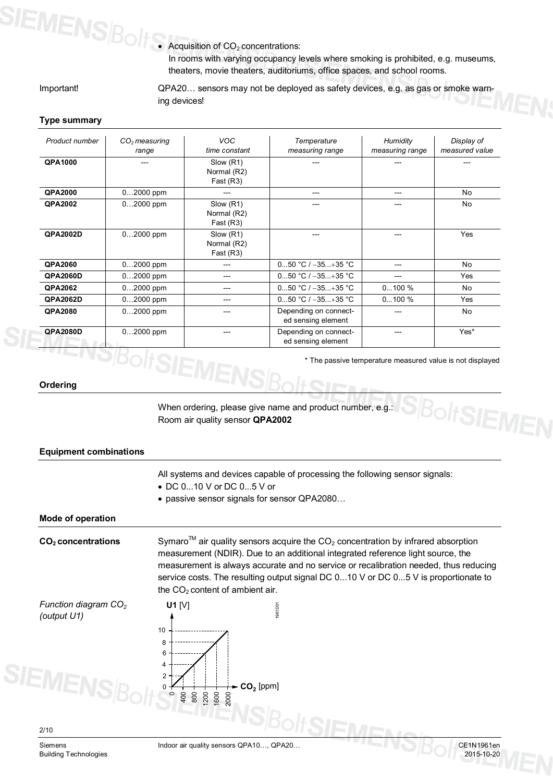

• Acquisition of  $CO<sub>2</sub>$  concentrations:

In rooms with varying occupancy levels where smoking is prohibited, e.g. museums, theaters, movie theaters, auditoriums, office spaces, and school rooms.

Important!

QPA20… sensors may not be deployed as safety devices, e.g. as gas or smoke warning devices!

#### **Type summary**

| Product number  | $CO2$ measuring | <b>VOC</b>    | Temperature           | Humidity        | Display of     |
|-----------------|-----------------|---------------|-----------------------|-----------------|----------------|
|                 | range           | time constant | measuring range       | measuring range | measured value |
| QPA1000         |                 | Slow (R1)     |                       |                 |                |
|                 |                 | Normal (R2)   |                       |                 |                |
|                 |                 | Fast(R3)      |                       |                 |                |
| <b>QPA2000</b>  | 02000 ppm       |               |                       | ---             | <b>No</b>      |
| <b>QPA2002</b>  | $02000$ ppm     | Slow (R1)     |                       |                 | <b>No</b>      |
|                 |                 | Normal (R2)   |                       |                 |                |
|                 |                 | Fast(R3)      |                       |                 |                |
| QPA2002D        | $02000$ ppm     | Slow (R1)     |                       |                 | Yes            |
|                 |                 | Normal (R2)   |                       |                 |                |
|                 |                 | Fast $(R3)$   |                       |                 |                |
| <b>QPA2060</b>  | $02000$ ppm     | ---           | 050 °C / $-35+35$ °C  | ---             | <b>No</b>      |
| <b>QPA2060D</b> | $02000$ ppm     | ---           | 050 °C / $-35+35$ °C  | ---             | Yes            |
| <b>QPA2062</b>  | 02000 ppm       | ---           | 050 °C / $-35+35$ °C  | 0100%           | No.            |
| <b>QPA2062D</b> | 02000 ppm       | ---           | 050 °C / $-35+35$ °C  | $0100\%$        | Yes            |
| <b>QPA2080</b>  | $02000$ ppm     | ---           | Depending on connect- | ---             | <b>No</b>      |
|                 |                 |               | ed sensing element    |                 |                |
| <b>QPA2080D</b> | $02000$ ppm     |               | Depending on connect- |                 | Yes*           |
|                 |                 |               | ed sensing element    |                 |                |

\* The passive temperature measured value is not displayed

**Ordering**

When ordering, please give name and product number, e.g.: Room air quality sensor **QPA2002**

#### **Equipment combinations** All systems and devices capable of processing the following sensor signals: x DC 0...10 V or DC 0...5 V or • passive sensor signals for sensor QPA2080... **Mode of operation** Symaro<sup>TM</sup> air quality sensors acquire the  $CO<sub>2</sub>$  concentration by infrared absorption measurement (NDIR). Due to an additional integrated reference light source, the measurement is always accurate and no service or recalibration needed, thus reducing service costs. The resulting output signal DC 0...10 V or DC 0...5 V is proportionate to the  $CO<sub>2</sub>$  content of ambient air. **U1** [V] 1961D01 **CO<sup>2</sup> concentrations** *Function diagram CO<sup>2</sup> (output U1)*

Building Technologies 2015-10-20

2000

**CO<sup>2</sup>** [ppm]

800 1200 1600

400

<sup>olt</sup>SIEMEN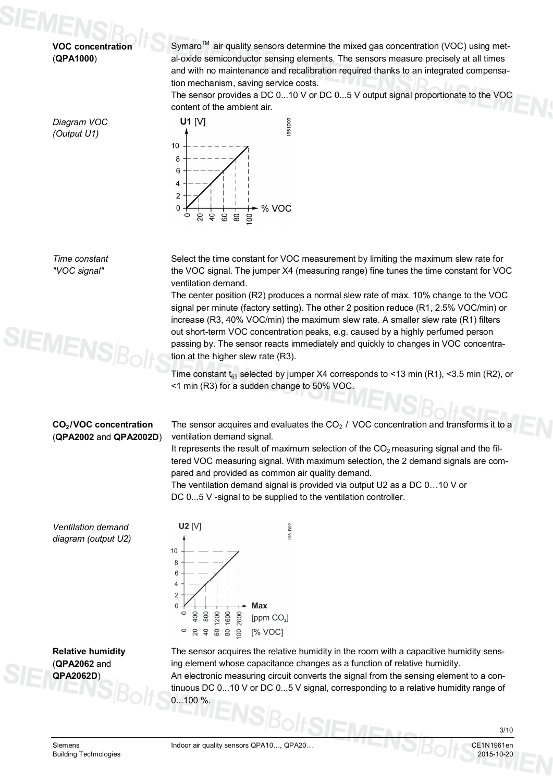**VOC concentration** (**QPA1000**)

*Diagram VOC (Output U1)*

Symaro $\mathbb{M}$  air quality sensors determine the mixed gas concentration (VOC) using metal-oxide semiconductor sensing elements. The sensors measure precisely at all times and with no maintenance and recalibration required thanks to an integrated compensation mechanism, saving service costs.

The sensor provides a DC 0...10 V or DC 0...5 V output signal proportionate to the VOC content of the ambient air.



*Time constant "VOC signal"*



Select the time constant for VOC measurement by limiting the maximum slew rate for the VOC signal. The jumper X4 (measuring range) fine tunes the time constant for VOC ventilation demand.

The center position (R2) produces a normal slew rate of max. 10% change to the VOC signal per minute (factory setting). The other 2 position reduce (R1, 2.5% VOC/min) or increase (R3, 40% VOC/min) the maximum slew rate. A smaller slew rate (R1) filters out short-term VOC concentration peaks, e.g. caused by a highly perfumed person passing by. The sensor reacts immediately and quickly to changes in VOC concentration at the higher slew rate (R3).

Time constant  $t_{63}$  selected by jumper X4 corresponds to <13 min (R1), <3.5 min (R2), or <1 min (R3) for a sudden change to 50% VOC.

#### **CO<sup>2</sup> /VOC concentration** (**QPA2002** and **QPA2002D**)

The sensor acquires and evaluates the  $CO<sub>2</sub>$  / VOC concentration and transforms it to a ventilation demand signal.

It represents the result of maximum selection of the  $CO<sub>2</sub>$  measuring signal and the filtered VOC measuring signal. With maximum selection, the 2 demand signals are compared and provided as common air quality demand.

The ventilation demand signal is provided via output U2 as a DC 0…10 V or DC 0...5 V -signal to be supplied to the ventilation controller.

*Ventilation demand diagram (output U2)*

**Relative humidity** (**QPA2062** and **QPA2062D**)

U2 [V] 961D02  $10$  $\,8\,$  $\,6\,$  $\overline{4}$  $\overline{\mathcal{L}}$  $\overline{0}$ Max  $\circ$ 400 800 200 1600 2000 [ppm CO<sub>2</sub>]  $\circ$  $84888$ [% VOC]

The sensor acquires the relative humidity in the room with a capacitive humidity sensing element whose capacitance changes as a function of relative humidity.

An electronic measuring circuit converts the signal from the sensing element to a continuous DC 0...10 V or DC 0...5 V signal, corresponding to a relative humidity range of  $0.100 \%$ 

Siemens **Indoor air quality sensors QPA10..., QPA20...** CHENNIA CE1N1961en

3/10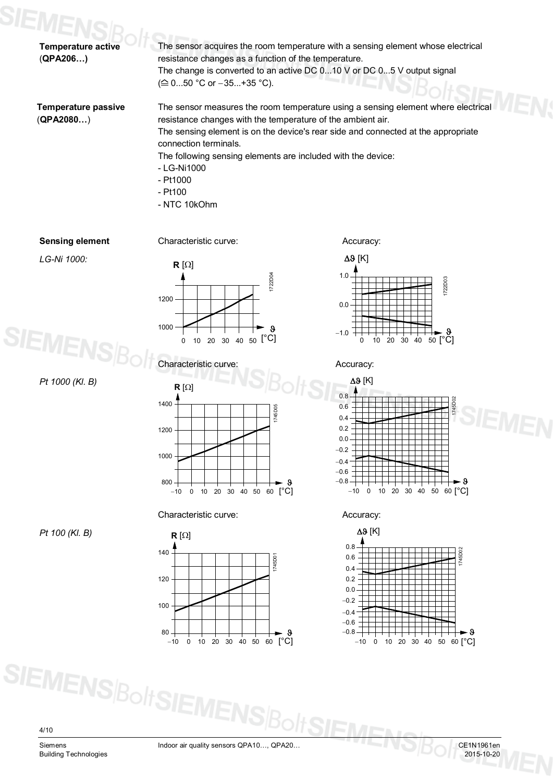| <b>Temperature active</b><br>(QPA206)   | The sensor acquires the room temperature with a sensing element whose electrical<br>resistance changes as a function of the temperature.<br>The change is converted to an active DC 010 V or DC 05 V output signal<br>$(\triangle 050 \degree C \text{ or } -35+35 \degree C).$                                                                                                        |
|-----------------------------------------|----------------------------------------------------------------------------------------------------------------------------------------------------------------------------------------------------------------------------------------------------------------------------------------------------------------------------------------------------------------------------------------|
| <b>Temperature passive</b><br>(QPA2080) | The sensor measures the room temperature using a sensing element where electrical<br>resistance changes with the temperature of the ambient air.<br>The sensing element is on the device's rear side and connected at the appropriate<br>connection terminals.<br>The following sensing elements are included with the device:<br>- LG-Ni1000<br>$-$ Pt1000<br>- Pt100<br>- NTC 10kOhm |
| <b>Sensing element</b>                  | Characteristic curve:<br>Accuracy:                                                                                                                                                                                                                                                                                                                                                     |
| LG-Ni 1000:                             | $\Delta\vartheta$ [K]<br>$R[\Omega]$<br>1722D04<br>1.0<br>1722D03<br>1200<br>0.0                                                                                                                                                                                                                                                                                                       |

*Pt 1000 (Kl. B)*

**SIEMENS** 

*Pt 100 (Kl. B)*



 $-10$  0 10 20 30 40 50 60  $[°C]$ 1000 800  $\bf{9}$ 

Characteristic curve: Characteristic curve:





 $-1.0$ 



 $[°C]$ 

9



4/10

**Building Technologies** 

**SIEMENS**BoltSIEN

Siemens Indoor air quality sensors QPA10..., QPA20...<br>Building Technologies 2015-10-20<br>2015-10-20

lts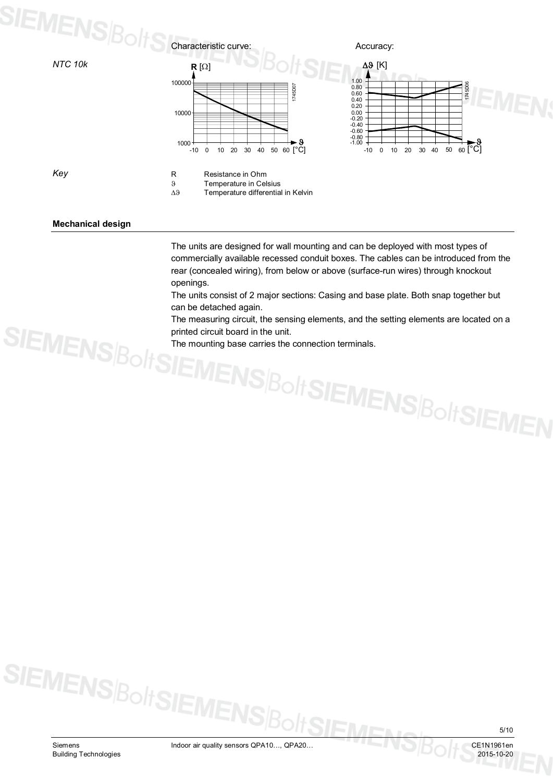# SIEMENS $\beta_{\mathrm{O}|t}$



*Key*



#### **Mechanical design**

The units are designed for wall mounting and can be deployed with most types of commercially available recessed conduit boxes. The cables can be introduced from the rear (concealed wiring), from below or above (surface-run wires) through knockout openings.

The units consist of 2 major sections: Casing and base plate. Both snap together but can be detached again.

The measuring circuit, the sensing elements, and the setting elements are located on a printed circuit board in the unit.

The mounting base carries the connection terminals.



SIEMENS|BoltSIEMEN: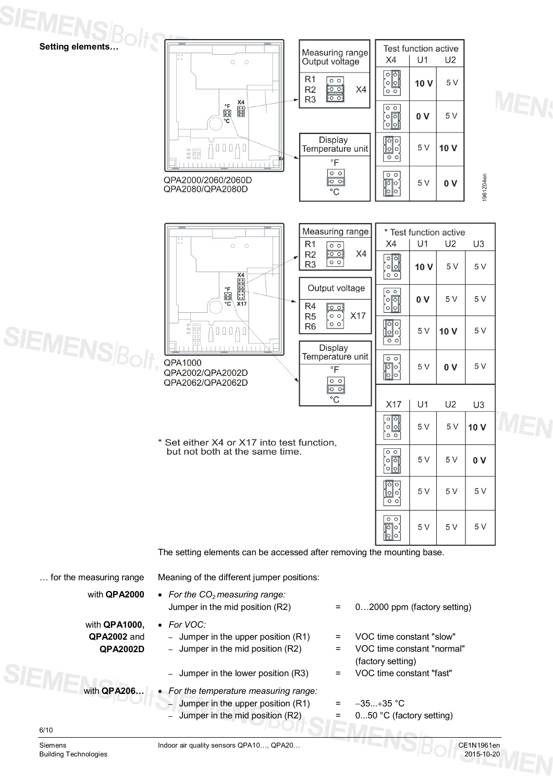

– Jumper in the mid position (R2)  $=$  0...50 °C (factory setting)

6/10

Siemens The Indoor air quality sensors QPA10..., QPA20...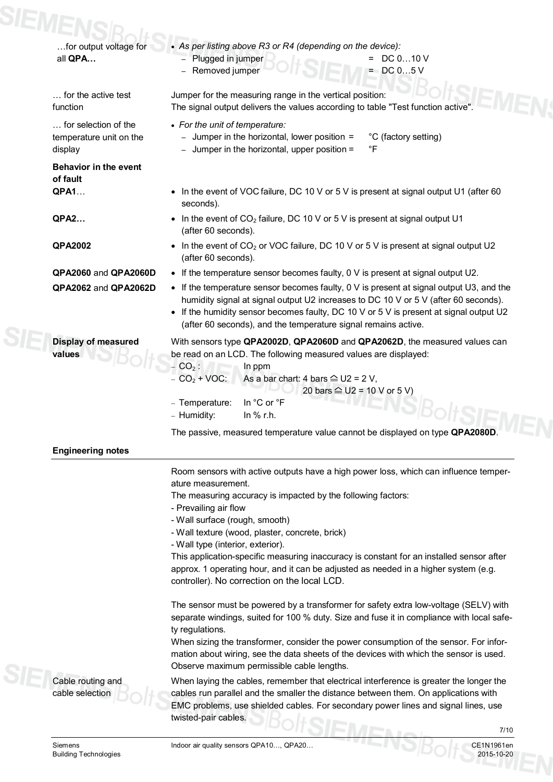| SIEME |                                                            |                                                                                                                                                                                                                                                                                                                                                                                                                                       |
|-------|------------------------------------------------------------|---------------------------------------------------------------------------------------------------------------------------------------------------------------------------------------------------------------------------------------------------------------------------------------------------------------------------------------------------------------------------------------------------------------------------------------|
|       | for output voltage for<br>all QPA                          | • As per listing above R3 or R4 (depending on the device):<br>- Plugged in jumper<br>$=$ DC 010 V<br>$=$ DC 05 V<br>Removed jumper                                                                                                                                                                                                                                                                                                    |
|       | for the active test<br>function                            | Jumper for the measuring range in the vertical position:<br>The signal output delivers the values according to table "Test function active".                                                                                                                                                                                                                                                                                          |
|       | for selection of the<br>temperature unit on the<br>display | • For the unit of temperature:<br>- Jumper in the horizontal, lower position =<br>°C (factory setting)<br>Jumper in the horizontal, upper position =<br>°F                                                                                                                                                                                                                                                                            |
|       | <b>Behavior in the event</b><br>of fault                   |                                                                                                                                                                                                                                                                                                                                                                                                                                       |
|       | <b>QPA1</b>                                                | • In the event of VOC failure, DC 10 V or 5 V is present at signal output U1 (after 60<br>seconds).                                                                                                                                                                                                                                                                                                                                   |
|       | <b>QPA2</b>                                                | • In the event of $CO2$ failure, DC 10 V or 5 V is present at signal output U1<br>(after 60 seconds).                                                                                                                                                                                                                                                                                                                                 |
|       | <b>QPA2002</b>                                             | • In the event of $CO2$ or VOC failure, DC 10 V or 5 V is present at signal output U2<br>(after 60 seconds).                                                                                                                                                                                                                                                                                                                          |
|       | QPA2060 and QPA2060D                                       | • If the temperature sensor becomes faulty, $0 \vee$ is present at signal output U2.                                                                                                                                                                                                                                                                                                                                                  |
|       | QPA2062 and QPA2062D                                       | • If the temperature sensor becomes faulty, $0 \vee$ is present at signal output U3, and the<br>humidity signal at signal output U2 increases to DC 10 V or 5 V (after 60 seconds).<br>• If the humidity sensor becomes faulty, DC 10 V or 5 V is present at signal output U2<br>(after 60 seconds), and the temperature signal remains active.                                                                                       |
|       | <b>Display of measured</b><br>values                       | With sensors type QPA2002D, QPA2060D and QPA2062D, the measured values can<br>be read on an LCD. The following measured values are displayed:<br>$- CO2$ :<br>In ppm<br>$- CO2 + VOC:$<br>As a bar chart: 4 bars $\cong$ U2 = 2 V,<br>20 bars $\hat{=}$ U2 = 10 V or 5 V)                                                                                                                                                             |
|       |                                                            | In °C or °F<br>- Temperature:<br>In % r.h.<br>- Humidity:                                                                                                                                                                                                                                                                                                                                                                             |
|       |                                                            | The passive, measured temperature value cannot be displayed on type QPA2080D.                                                                                                                                                                                                                                                                                                                                                         |
|       | <b>Engineering notes</b>                                   |                                                                                                                                                                                                                                                                                                                                                                                                                                       |
|       |                                                            | Room sensors with active outputs have a high power loss, which can influence temper-<br>ature measurement.<br>The measuring accuracy is impacted by the following factors:<br>- Prevailing air flow<br>- Wall surface (rough, smooth)                                                                                                                                                                                                 |
|       |                                                            | - Wall texture (wood, plaster, concrete, brick)                                                                                                                                                                                                                                                                                                                                                                                       |
|       |                                                            | - Wall type (interior, exterior).                                                                                                                                                                                                                                                                                                                                                                                                     |
|       |                                                            | This application-specific measuring inaccuracy is constant for an installed sensor after<br>approx. 1 operating hour, and it can be adjusted as needed in a higher system (e.g.<br>controller). No correction on the local LCD.                                                                                                                                                                                                       |
|       |                                                            | The sensor must be powered by a transformer for safety extra low-voltage (SELV) with<br>separate windings, suited for 100 % duty. Size and fuse it in compliance with local safe-<br>ty regulations.<br>When sizing the transformer, consider the power consumption of the sensor. For infor-<br>mation about wiring, see the data sheets of the devices with which the sensor is used.<br>Observe maximum permissible cable lengths. |
|       | Cable routing and<br>cable selection                       | When laying the cables, remember that electrical interference is greater the longer the<br>cables run parallel and the smaller the distance between them. On applications with<br>EMC problems, use shielded cables. For secondary power lines and signal lines, use<br>twisted-pair cables.                                                                                                                                          |
|       |                                                            | 7/10                                                                                                                                                                                                                                                                                                                                                                                                                                  |

7/10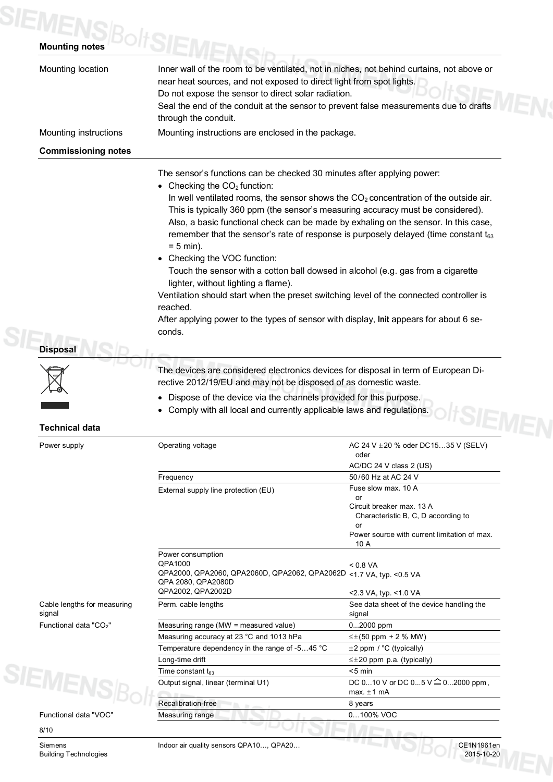## **SIEMENS**BoltS

| Mounting location                     | Inner wall of the room to be ventilated, not in niches, not behind curtains, not above or<br>near heat sources, and not exposed to direct light from spot lights.<br>Do not expose the sensor to direct solar radiation.<br>Seal the end of the conduit at the sensor to prevent false measurements due to drafts<br>through the conduit.                                                                                                                                                                                                                                                                                                                                                                                                                                                                                                                     |                                                                                                                                      |  |
|---------------------------------------|---------------------------------------------------------------------------------------------------------------------------------------------------------------------------------------------------------------------------------------------------------------------------------------------------------------------------------------------------------------------------------------------------------------------------------------------------------------------------------------------------------------------------------------------------------------------------------------------------------------------------------------------------------------------------------------------------------------------------------------------------------------------------------------------------------------------------------------------------------------|--------------------------------------------------------------------------------------------------------------------------------------|--|
| Mounting instructions                 | Mounting instructions are enclosed in the package.                                                                                                                                                                                                                                                                                                                                                                                                                                                                                                                                                                                                                                                                                                                                                                                                            |                                                                                                                                      |  |
| <b>Commissioning notes</b>            |                                                                                                                                                                                                                                                                                                                                                                                                                                                                                                                                                                                                                                                                                                                                                                                                                                                               |                                                                                                                                      |  |
| <b>Disposal</b>                       | The sensor's functions can be checked 30 minutes after applying power:<br>• Checking the $CO2$ function:<br>In well ventilated rooms, the sensor shows the $CO2$ concentration of the outside air.<br>This is typically 360 ppm (the sensor's measuring accuracy must be considered).<br>Also, a basic functional check can be made by exhaling on the sensor. In this case,<br>remember that the sensor's rate of response is purposely delayed (time constant $t_{63}$<br>$= 5$ min).<br>• Checking the VOC function:<br>Touch the sensor with a cotton ball dowsed in alcohol (e.g. gas from a cigarette<br>lighter, without lighting a flame).<br>Ventilation should start when the preset switching level of the connected controller is<br>reached.<br>After applying power to the types of sensor with display, Init appears for about 6 se-<br>conds. |                                                                                                                                      |  |
|                                       | The devices are considered electronics devices for disposal in term of European Di-<br>rective 2012/19/EU and may not be disposed of as domestic waste.                                                                                                                                                                                                                                                                                                                                                                                                                                                                                                                                                                                                                                                                                                       |                                                                                                                                      |  |
|                                       | Dispose of the device via the channels provided for this purpose.<br>Comply with all local and currently applicable laws and regulations.                                                                                                                                                                                                                                                                                                                                                                                                                                                                                                                                                                                                                                                                                                                     |                                                                                                                                      |  |
| <b>Technical data</b>                 |                                                                                                                                                                                                                                                                                                                                                                                                                                                                                                                                                                                                                                                                                                                                                                                                                                                               |                                                                                                                                      |  |
| Power supply                          | Operating voltage                                                                                                                                                                                                                                                                                                                                                                                                                                                                                                                                                                                                                                                                                                                                                                                                                                             | AC 24 V ± 20 % oder DC1535 V (SELV)<br>oder                                                                                          |  |
|                                       |                                                                                                                                                                                                                                                                                                                                                                                                                                                                                                                                                                                                                                                                                                                                                                                                                                                               | AC/DC 24 V class 2 (US)                                                                                                              |  |
|                                       | Frequency                                                                                                                                                                                                                                                                                                                                                                                                                                                                                                                                                                                                                                                                                                                                                                                                                                                     | 50/60 Hz at AC 24 V<br>Fuse slow max, 10 A                                                                                           |  |
|                                       | External supply line protection (EU)                                                                                                                                                                                                                                                                                                                                                                                                                                                                                                                                                                                                                                                                                                                                                                                                                          | or<br>Circuit breaker max. 13 A<br>Characteristic B, C, D according to<br>or<br>Power source with current limitation of max.<br>10 A |  |
|                                       | Power consumption<br>QPA1000<br>QPA2000, QPA2060, QPA2060D, QPA2062, QPA2062D <1.7 VA, typ. <0.5 VA<br>QPA 2080, QPA2080D<br>QPA2002, QPA2002D                                                                                                                                                                                                                                                                                                                                                                                                                                                                                                                                                                                                                                                                                                                | < 0.8 VA                                                                                                                             |  |
|                                       |                                                                                                                                                                                                                                                                                                                                                                                                                                                                                                                                                                                                                                                                                                                                                                                                                                                               | <2.3 VA, typ. <1.0 VA                                                                                                                |  |
| Cable lengths for measuring<br>signal | Perm. cable lengths                                                                                                                                                                                                                                                                                                                                                                                                                                                                                                                                                                                                                                                                                                                                                                                                                                           | See data sheet of the device handling the<br>signal                                                                                  |  |

Measuring accuracy at 23 °C and 1013 hPa  $\leq \pm (50 \text{ ppm} + 2 \text{ % MW})$ Temperature dependency in the range of -5...45 °C  $\pm$  2 ppm / °C (typically) Long-time drift  $\leq \pm 20$  ppm p.a. (typically)

Output signal, linear (terminal U1) DC 0...10 V or DC 0...5 V  $\cong$  0...2000 ppm,

max.  $\pm 1$  mA

 $\overline{\text{Time constant}}$  t<sub>63</sub>  $\leq$  5 min

Recalibration-free 8 years Measuring range 0...100% VOC



Functional data "VOC"

8/10

Building Technologies

Siemens Indoor air quality sensors QPA10..., QPA20...<br>Building Technologies 2015-10-20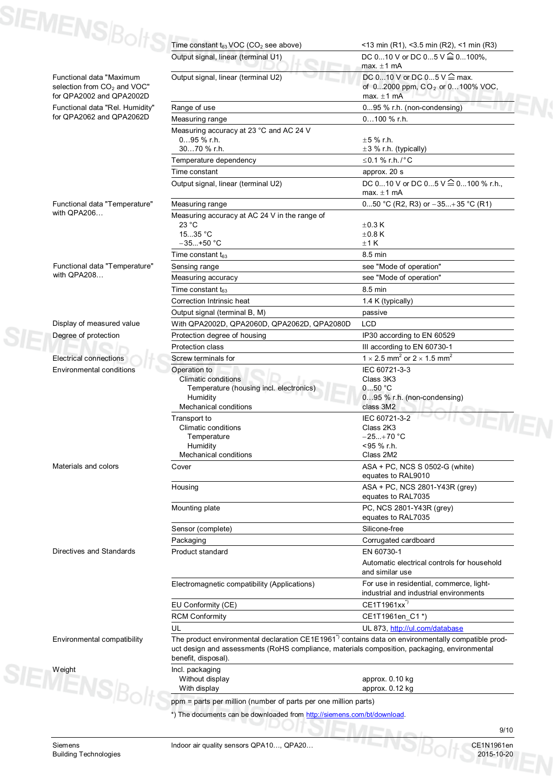| DC 010 V or DC 05 V $\cong$ 0100%,<br>Output signal, linear (terminal U1)<br>max. $\pm 1$ mA<br>DC 010 V or DC 05 V <sup>2</sup> max.<br>Output signal, linear (terminal U2)<br>Functional data "Maximum<br>selection from CO <sub>2</sub> and VOC"<br>for QPA2002 and QPA2002D<br>max. $\pm 1$ mA<br>Functional data "Rel. Humidity"<br>Range of use<br>095 % r.h. (non-condensing)<br>for QPA2062 and QPA2062D<br>$0100 \%$ r.h.<br>Measuring range<br>Measuring accuracy at 23 °C and AC 24 V<br>$095%$ r.h.<br>$\pm 5$ % r.h.<br>3070 % r.h.<br>$\pm 3$ % r.h. (typically)<br>$≤0.1 %$ r.h./°C<br>Temperature dependency<br>Time constant<br>approx. 20 s<br>DC 010 V or DC 05 V $\stackrel{\textstyle\triangle}{=}$ 0100 % r.h.,<br>Output signal, linear (terminal U2)<br>max. $\pm 1$ mA<br>Functional data "Temperature"<br>Measuring range<br>with QPA206<br>Measuring accuracy at AC 24 V in the range of<br>23 °C<br>$\pm$ 0.3 K<br>1535 °C<br>$\pm 0.8$ K<br>$-35+50 °C$<br>±1K<br>8.5 min<br>Time constant $t_{63}$<br>Functional data "Temperature"<br>see "Mode of operation"<br>Sensing range<br>with QPA208<br>see "Mode of operation"<br>Measuring accuracy<br>8.5 min<br>Time constant $t_{63}$<br>Correction Intrinsic heat<br>1.4 K (typically)<br>Output signal (terminal B, M)<br>passive<br>Display of measured value<br>With QPA2002D, QPA2060D, QPA2062D, QPA2080D<br><b>LCD</b><br>Degree of protection<br>Protection degree of housing<br>IP30 according to EN 60529<br>Protection class<br>III according to EN 60730-1<br>1 $\times$ 2.5 mm <sup>2</sup> or 2 $\times$ 1.5 mm <sup>2</sup><br><b>Electrical connections</b><br>Screw terminals for<br>IEC 60721-3-3<br>Environmental conditions<br>Operation to<br>Class 3K3<br><b>Climatic conditions</b><br>050 °C<br>Temperature (housing incl. electronics)<br>Humidity<br>095 % r.h. (non-condensing)<br><b>Mechanical conditions</b><br>class 3M2<br>IEC 60721-3-2<br>Transport to<br>$\mathbf{v}_\mathbf{R}$<br>Climatic conditions<br>Class 2K3<br>$-25+70 °C$<br>Temperature<br><95 % r.h.<br>Humidity<br>Mechanical conditions<br>Class 2M2<br>Materials and colors<br>ASA + PC, NCS S 0502-G (white)<br>Cover<br>equates to RAL9010<br>ASA + PC, NCS 2801-Y43R (grey)<br>Housing<br>equates to RAL7035<br>PC, NCS 2801-Y43R (grey)<br>Mounting plate<br>equates to RAL7035<br>Silicone-free<br>Sensor (complete)<br>Corrugated cardboard<br>Packaging<br>Directives and Standards<br>Product standard<br>EN 60730-1<br>and similar use<br>Electromagnetic compatibility (Applications)<br>industrial and industrial environments<br>CE1T1961xx <sup>*)</sup><br>EU Conformity (CE)<br>CE1T1961en_C1*)<br><b>RCM Conformity</b><br>UL<br>UL 873, http://ul.com/database<br>Environmental compatibility<br>benefit, disposal).<br>Incl. packaging<br>Without display<br>approx. 0.10 kg | SIEMENS $\beta_{\text{O}}$ | Time constant t63 VOC (CO <sub>2</sub> see above)                                                                                                                                                               | <13 min (R1), <3.5 min (R2), <1 min (R3)    |  |
|-------------------------------------------------------------------------------------------------------------------------------------------------------------------------------------------------------------------------------------------------------------------------------------------------------------------------------------------------------------------------------------------------------------------------------------------------------------------------------------------------------------------------------------------------------------------------------------------------------------------------------------------------------------------------------------------------------------------------------------------------------------------------------------------------------------------------------------------------------------------------------------------------------------------------------------------------------------------------------------------------------------------------------------------------------------------------------------------------------------------------------------------------------------------------------------------------------------------------------------------------------------------------------------------------------------------------------------------------------------------------------------------------------------------------------------------------------------------------------------------------------------------------------------------------------------------------------------------------------------------------------------------------------------------------------------------------------------------------------------------------------------------------------------------------------------------------------------------------------------------------------------------------------------------------------------------------------------------------------------------------------------------------------------------------------------------------------------------------------------------------------------------------------------------------------------------------------------------------------------------------------------------------------------------------------------------------------------------------------------------------------------------------------------------------------------------------------------------------------------------------------------------------------------------------------------------------------------------------------------------------------------------------------------------------------------------------------------------------------------------------------------------------------------------------------------------------------------------------------------------------------|----------------------------|-----------------------------------------------------------------------------------------------------------------------------------------------------------------------------------------------------------------|---------------------------------------------|--|
|                                                                                                                                                                                                                                                                                                                                                                                                                                                                                                                                                                                                                                                                                                                                                                                                                                                                                                                                                                                                                                                                                                                                                                                                                                                                                                                                                                                                                                                                                                                                                                                                                                                                                                                                                                                                                                                                                                                                                                                                                                                                                                                                                                                                                                                                                                                                                                                                                                                                                                                                                                                                                                                                                                                                                                                                                                                                               |                            |                                                                                                                                                                                                                 |                                             |  |
| <b>SIENENSBOL</b>                                                                                                                                                                                                                                                                                                                                                                                                                                                                                                                                                                                                                                                                                                                                                                                                                                                                                                                                                                                                                                                                                                                                                                                                                                                                                                                                                                                                                                                                                                                                                                                                                                                                                                                                                                                                                                                                                                                                                                                                                                                                                                                                                                                                                                                                                                                                                                                                                                                                                                                                                                                                                                                                                                                                                                                                                                                             |                            |                                                                                                                                                                                                                 | of 02000 ppm, CO <sub>2</sub> or 0100% VOC, |  |
|                                                                                                                                                                                                                                                                                                                                                                                                                                                                                                                                                                                                                                                                                                                                                                                                                                                                                                                                                                                                                                                                                                                                                                                                                                                                                                                                                                                                                                                                                                                                                                                                                                                                                                                                                                                                                                                                                                                                                                                                                                                                                                                                                                                                                                                                                                                                                                                                                                                                                                                                                                                                                                                                                                                                                                                                                                                                               |                            |                                                                                                                                                                                                                 |                                             |  |
|                                                                                                                                                                                                                                                                                                                                                                                                                                                                                                                                                                                                                                                                                                                                                                                                                                                                                                                                                                                                                                                                                                                                                                                                                                                                                                                                                                                                                                                                                                                                                                                                                                                                                                                                                                                                                                                                                                                                                                                                                                                                                                                                                                                                                                                                                                                                                                                                                                                                                                                                                                                                                                                                                                                                                                                                                                                                               |                            |                                                                                                                                                                                                                 |                                             |  |
|                                                                                                                                                                                                                                                                                                                                                                                                                                                                                                                                                                                                                                                                                                                                                                                                                                                                                                                                                                                                                                                                                                                                                                                                                                                                                                                                                                                                                                                                                                                                                                                                                                                                                                                                                                                                                                                                                                                                                                                                                                                                                                                                                                                                                                                                                                                                                                                                                                                                                                                                                                                                                                                                                                                                                                                                                                                                               |                            |                                                                                                                                                                                                                 |                                             |  |
|                                                                                                                                                                                                                                                                                                                                                                                                                                                                                                                                                                                                                                                                                                                                                                                                                                                                                                                                                                                                                                                                                                                                                                                                                                                                                                                                                                                                                                                                                                                                                                                                                                                                                                                                                                                                                                                                                                                                                                                                                                                                                                                                                                                                                                                                                                                                                                                                                                                                                                                                                                                                                                                                                                                                                                                                                                                                               |                            |                                                                                                                                                                                                                 |                                             |  |
|                                                                                                                                                                                                                                                                                                                                                                                                                                                                                                                                                                                                                                                                                                                                                                                                                                                                                                                                                                                                                                                                                                                                                                                                                                                                                                                                                                                                                                                                                                                                                                                                                                                                                                                                                                                                                                                                                                                                                                                                                                                                                                                                                                                                                                                                                                                                                                                                                                                                                                                                                                                                                                                                                                                                                                                                                                                                               |                            |                                                                                                                                                                                                                 |                                             |  |
|                                                                                                                                                                                                                                                                                                                                                                                                                                                                                                                                                                                                                                                                                                                                                                                                                                                                                                                                                                                                                                                                                                                                                                                                                                                                                                                                                                                                                                                                                                                                                                                                                                                                                                                                                                                                                                                                                                                                                                                                                                                                                                                                                                                                                                                                                                                                                                                                                                                                                                                                                                                                                                                                                                                                                                                                                                                                               |                            |                                                                                                                                                                                                                 |                                             |  |
|                                                                                                                                                                                                                                                                                                                                                                                                                                                                                                                                                                                                                                                                                                                                                                                                                                                                                                                                                                                                                                                                                                                                                                                                                                                                                                                                                                                                                                                                                                                                                                                                                                                                                                                                                                                                                                                                                                                                                                                                                                                                                                                                                                                                                                                                                                                                                                                                                                                                                                                                                                                                                                                                                                                                                                                                                                                                               |                            |                                                                                                                                                                                                                 |                                             |  |
|                                                                                                                                                                                                                                                                                                                                                                                                                                                                                                                                                                                                                                                                                                                                                                                                                                                                                                                                                                                                                                                                                                                                                                                                                                                                                                                                                                                                                                                                                                                                                                                                                                                                                                                                                                                                                                                                                                                                                                                                                                                                                                                                                                                                                                                                                                                                                                                                                                                                                                                                                                                                                                                                                                                                                                                                                                                                               |                            |                                                                                                                                                                                                                 |                                             |  |
|                                                                                                                                                                                                                                                                                                                                                                                                                                                                                                                                                                                                                                                                                                                                                                                                                                                                                                                                                                                                                                                                                                                                                                                                                                                                                                                                                                                                                                                                                                                                                                                                                                                                                                                                                                                                                                                                                                                                                                                                                                                                                                                                                                                                                                                                                                                                                                                                                                                                                                                                                                                                                                                                                                                                                                                                                                                                               |                            |                                                                                                                                                                                                                 | 050 °C (R2, R3) or $-35+35$ °C (R1)         |  |
|                                                                                                                                                                                                                                                                                                                                                                                                                                                                                                                                                                                                                                                                                                                                                                                                                                                                                                                                                                                                                                                                                                                                                                                                                                                                                                                                                                                                                                                                                                                                                                                                                                                                                                                                                                                                                                                                                                                                                                                                                                                                                                                                                                                                                                                                                                                                                                                                                                                                                                                                                                                                                                                                                                                                                                                                                                                                               |                            |                                                                                                                                                                                                                 |                                             |  |
|                                                                                                                                                                                                                                                                                                                                                                                                                                                                                                                                                                                                                                                                                                                                                                                                                                                                                                                                                                                                                                                                                                                                                                                                                                                                                                                                                                                                                                                                                                                                                                                                                                                                                                                                                                                                                                                                                                                                                                                                                                                                                                                                                                                                                                                                                                                                                                                                                                                                                                                                                                                                                                                                                                                                                                                                                                                                               |                            |                                                                                                                                                                                                                 |                                             |  |
|                                                                                                                                                                                                                                                                                                                                                                                                                                                                                                                                                                                                                                                                                                                                                                                                                                                                                                                                                                                                                                                                                                                                                                                                                                                                                                                                                                                                                                                                                                                                                                                                                                                                                                                                                                                                                                                                                                                                                                                                                                                                                                                                                                                                                                                                                                                                                                                                                                                                                                                                                                                                                                                                                                                                                                                                                                                                               |                            |                                                                                                                                                                                                                 |                                             |  |
|                                                                                                                                                                                                                                                                                                                                                                                                                                                                                                                                                                                                                                                                                                                                                                                                                                                                                                                                                                                                                                                                                                                                                                                                                                                                                                                                                                                                                                                                                                                                                                                                                                                                                                                                                                                                                                                                                                                                                                                                                                                                                                                                                                                                                                                                                                                                                                                                                                                                                                                                                                                                                                                                                                                                                                                                                                                                               |                            |                                                                                                                                                                                                                 |                                             |  |
|                                                                                                                                                                                                                                                                                                                                                                                                                                                                                                                                                                                                                                                                                                                                                                                                                                                                                                                                                                                                                                                                                                                                                                                                                                                                                                                                                                                                                                                                                                                                                                                                                                                                                                                                                                                                                                                                                                                                                                                                                                                                                                                                                                                                                                                                                                                                                                                                                                                                                                                                                                                                                                                                                                                                                                                                                                                                               |                            |                                                                                                                                                                                                                 |                                             |  |
|                                                                                                                                                                                                                                                                                                                                                                                                                                                                                                                                                                                                                                                                                                                                                                                                                                                                                                                                                                                                                                                                                                                                                                                                                                                                                                                                                                                                                                                                                                                                                                                                                                                                                                                                                                                                                                                                                                                                                                                                                                                                                                                                                                                                                                                                                                                                                                                                                                                                                                                                                                                                                                                                                                                                                                                                                                                                               |                            |                                                                                                                                                                                                                 |                                             |  |
|                                                                                                                                                                                                                                                                                                                                                                                                                                                                                                                                                                                                                                                                                                                                                                                                                                                                                                                                                                                                                                                                                                                                                                                                                                                                                                                                                                                                                                                                                                                                                                                                                                                                                                                                                                                                                                                                                                                                                                                                                                                                                                                                                                                                                                                                                                                                                                                                                                                                                                                                                                                                                                                                                                                                                                                                                                                                               |                            |                                                                                                                                                                                                                 |                                             |  |
|                                                                                                                                                                                                                                                                                                                                                                                                                                                                                                                                                                                                                                                                                                                                                                                                                                                                                                                                                                                                                                                                                                                                                                                                                                                                                                                                                                                                                                                                                                                                                                                                                                                                                                                                                                                                                                                                                                                                                                                                                                                                                                                                                                                                                                                                                                                                                                                                                                                                                                                                                                                                                                                                                                                                                                                                                                                                               |                            |                                                                                                                                                                                                                 |                                             |  |
|                                                                                                                                                                                                                                                                                                                                                                                                                                                                                                                                                                                                                                                                                                                                                                                                                                                                                                                                                                                                                                                                                                                                                                                                                                                                                                                                                                                                                                                                                                                                                                                                                                                                                                                                                                                                                                                                                                                                                                                                                                                                                                                                                                                                                                                                                                                                                                                                                                                                                                                                                                                                                                                                                                                                                                                                                                                                               |                            |                                                                                                                                                                                                                 |                                             |  |
|                                                                                                                                                                                                                                                                                                                                                                                                                                                                                                                                                                                                                                                                                                                                                                                                                                                                                                                                                                                                                                                                                                                                                                                                                                                                                                                                                                                                                                                                                                                                                                                                                                                                                                                                                                                                                                                                                                                                                                                                                                                                                                                                                                                                                                                                                                                                                                                                                                                                                                                                                                                                                                                                                                                                                                                                                                                                               |                            |                                                                                                                                                                                                                 |                                             |  |
|                                                                                                                                                                                                                                                                                                                                                                                                                                                                                                                                                                                                                                                                                                                                                                                                                                                                                                                                                                                                                                                                                                                                                                                                                                                                                                                                                                                                                                                                                                                                                                                                                                                                                                                                                                                                                                                                                                                                                                                                                                                                                                                                                                                                                                                                                                                                                                                                                                                                                                                                                                                                                                                                                                                                                                                                                                                                               |                            |                                                                                                                                                                                                                 |                                             |  |
|                                                                                                                                                                                                                                                                                                                                                                                                                                                                                                                                                                                                                                                                                                                                                                                                                                                                                                                                                                                                                                                                                                                                                                                                                                                                                                                                                                                                                                                                                                                                                                                                                                                                                                                                                                                                                                                                                                                                                                                                                                                                                                                                                                                                                                                                                                                                                                                                                                                                                                                                                                                                                                                                                                                                                                                                                                                                               |                            |                                                                                                                                                                                                                 |                                             |  |
|                                                                                                                                                                                                                                                                                                                                                                                                                                                                                                                                                                                                                                                                                                                                                                                                                                                                                                                                                                                                                                                                                                                                                                                                                                                                                                                                                                                                                                                                                                                                                                                                                                                                                                                                                                                                                                                                                                                                                                                                                                                                                                                                                                                                                                                                                                                                                                                                                                                                                                                                                                                                                                                                                                                                                                                                                                                                               |                            |                                                                                                                                                                                                                 |                                             |  |
|                                                                                                                                                                                                                                                                                                                                                                                                                                                                                                                                                                                                                                                                                                                                                                                                                                                                                                                                                                                                                                                                                                                                                                                                                                                                                                                                                                                                                                                                                                                                                                                                                                                                                                                                                                                                                                                                                                                                                                                                                                                                                                                                                                                                                                                                                                                                                                                                                                                                                                                                                                                                                                                                                                                                                                                                                                                                               |                            |                                                                                                                                                                                                                 |                                             |  |
|                                                                                                                                                                                                                                                                                                                                                                                                                                                                                                                                                                                                                                                                                                                                                                                                                                                                                                                                                                                                                                                                                                                                                                                                                                                                                                                                                                                                                                                                                                                                                                                                                                                                                                                                                                                                                                                                                                                                                                                                                                                                                                                                                                                                                                                                                                                                                                                                                                                                                                                                                                                                                                                                                                                                                                                                                                                                               |                            |                                                                                                                                                                                                                 |                                             |  |
|                                                                                                                                                                                                                                                                                                                                                                                                                                                                                                                                                                                                                                                                                                                                                                                                                                                                                                                                                                                                                                                                                                                                                                                                                                                                                                                                                                                                                                                                                                                                                                                                                                                                                                                                                                                                                                                                                                                                                                                                                                                                                                                                                                                                                                                                                                                                                                                                                                                                                                                                                                                                                                                                                                                                                                                                                                                                               |                            |                                                                                                                                                                                                                 |                                             |  |
|                                                                                                                                                                                                                                                                                                                                                                                                                                                                                                                                                                                                                                                                                                                                                                                                                                                                                                                                                                                                                                                                                                                                                                                                                                                                                                                                                                                                                                                                                                                                                                                                                                                                                                                                                                                                                                                                                                                                                                                                                                                                                                                                                                                                                                                                                                                                                                                                                                                                                                                                                                                                                                                                                                                                                                                                                                                                               |                            |                                                                                                                                                                                                                 |                                             |  |
|                                                                                                                                                                                                                                                                                                                                                                                                                                                                                                                                                                                                                                                                                                                                                                                                                                                                                                                                                                                                                                                                                                                                                                                                                                                                                                                                                                                                                                                                                                                                                                                                                                                                                                                                                                                                                                                                                                                                                                                                                                                                                                                                                                                                                                                                                                                                                                                                                                                                                                                                                                                                                                                                                                                                                                                                                                                                               |                            |                                                                                                                                                                                                                 |                                             |  |
|                                                                                                                                                                                                                                                                                                                                                                                                                                                                                                                                                                                                                                                                                                                                                                                                                                                                                                                                                                                                                                                                                                                                                                                                                                                                                                                                                                                                                                                                                                                                                                                                                                                                                                                                                                                                                                                                                                                                                                                                                                                                                                                                                                                                                                                                                                                                                                                                                                                                                                                                                                                                                                                                                                                                                                                                                                                                               |                            |                                                                                                                                                                                                                 |                                             |  |
|                                                                                                                                                                                                                                                                                                                                                                                                                                                                                                                                                                                                                                                                                                                                                                                                                                                                                                                                                                                                                                                                                                                                                                                                                                                                                                                                                                                                                                                                                                                                                                                                                                                                                                                                                                                                                                                                                                                                                                                                                                                                                                                                                                                                                                                                                                                                                                                                                                                                                                                                                                                                                                                                                                                                                                                                                                                                               |                            |                                                                                                                                                                                                                 |                                             |  |
|                                                                                                                                                                                                                                                                                                                                                                                                                                                                                                                                                                                                                                                                                                                                                                                                                                                                                                                                                                                                                                                                                                                                                                                                                                                                                                                                                                                                                                                                                                                                                                                                                                                                                                                                                                                                                                                                                                                                                                                                                                                                                                                                                                                                                                                                                                                                                                                                                                                                                                                                                                                                                                                                                                                                                                                                                                                                               |                            |                                                                                                                                                                                                                 |                                             |  |
|                                                                                                                                                                                                                                                                                                                                                                                                                                                                                                                                                                                                                                                                                                                                                                                                                                                                                                                                                                                                                                                                                                                                                                                                                                                                                                                                                                                                                                                                                                                                                                                                                                                                                                                                                                                                                                                                                                                                                                                                                                                                                                                                                                                                                                                                                                                                                                                                                                                                                                                                                                                                                                                                                                                                                                                                                                                                               |                            |                                                                                                                                                                                                                 |                                             |  |
|                                                                                                                                                                                                                                                                                                                                                                                                                                                                                                                                                                                                                                                                                                                                                                                                                                                                                                                                                                                                                                                                                                                                                                                                                                                                                                                                                                                                                                                                                                                                                                                                                                                                                                                                                                                                                                                                                                                                                                                                                                                                                                                                                                                                                                                                                                                                                                                                                                                                                                                                                                                                                                                                                                                                                                                                                                                                               |                            |                                                                                                                                                                                                                 |                                             |  |
|                                                                                                                                                                                                                                                                                                                                                                                                                                                                                                                                                                                                                                                                                                                                                                                                                                                                                                                                                                                                                                                                                                                                                                                                                                                                                                                                                                                                                                                                                                                                                                                                                                                                                                                                                                                                                                                                                                                                                                                                                                                                                                                                                                                                                                                                                                                                                                                                                                                                                                                                                                                                                                                                                                                                                                                                                                                                               |                            |                                                                                                                                                                                                                 |                                             |  |
|                                                                                                                                                                                                                                                                                                                                                                                                                                                                                                                                                                                                                                                                                                                                                                                                                                                                                                                                                                                                                                                                                                                                                                                                                                                                                                                                                                                                                                                                                                                                                                                                                                                                                                                                                                                                                                                                                                                                                                                                                                                                                                                                                                                                                                                                                                                                                                                                                                                                                                                                                                                                                                                                                                                                                                                                                                                                               |                            |                                                                                                                                                                                                                 |                                             |  |
|                                                                                                                                                                                                                                                                                                                                                                                                                                                                                                                                                                                                                                                                                                                                                                                                                                                                                                                                                                                                                                                                                                                                                                                                                                                                                                                                                                                                                                                                                                                                                                                                                                                                                                                                                                                                                                                                                                                                                                                                                                                                                                                                                                                                                                                                                                                                                                                                                                                                                                                                                                                                                                                                                                                                                                                                                                                                               |                            |                                                                                                                                                                                                                 |                                             |  |
|                                                                                                                                                                                                                                                                                                                                                                                                                                                                                                                                                                                                                                                                                                                                                                                                                                                                                                                                                                                                                                                                                                                                                                                                                                                                                                                                                                                                                                                                                                                                                                                                                                                                                                                                                                                                                                                                                                                                                                                                                                                                                                                                                                                                                                                                                                                                                                                                                                                                                                                                                                                                                                                                                                                                                                                                                                                                               |                            |                                                                                                                                                                                                                 |                                             |  |
|                                                                                                                                                                                                                                                                                                                                                                                                                                                                                                                                                                                                                                                                                                                                                                                                                                                                                                                                                                                                                                                                                                                                                                                                                                                                                                                                                                                                                                                                                                                                                                                                                                                                                                                                                                                                                                                                                                                                                                                                                                                                                                                                                                                                                                                                                                                                                                                                                                                                                                                                                                                                                                                                                                                                                                                                                                                                               |                            |                                                                                                                                                                                                                 |                                             |  |
|                                                                                                                                                                                                                                                                                                                                                                                                                                                                                                                                                                                                                                                                                                                                                                                                                                                                                                                                                                                                                                                                                                                                                                                                                                                                                                                                                                                                                                                                                                                                                                                                                                                                                                                                                                                                                                                                                                                                                                                                                                                                                                                                                                                                                                                                                                                                                                                                                                                                                                                                                                                                                                                                                                                                                                                                                                                                               |                            |                                                                                                                                                                                                                 | Automatic electrical controls for household |  |
|                                                                                                                                                                                                                                                                                                                                                                                                                                                                                                                                                                                                                                                                                                                                                                                                                                                                                                                                                                                                                                                                                                                                                                                                                                                                                                                                                                                                                                                                                                                                                                                                                                                                                                                                                                                                                                                                                                                                                                                                                                                                                                                                                                                                                                                                                                                                                                                                                                                                                                                                                                                                                                                                                                                                                                                                                                                                               |                            |                                                                                                                                                                                                                 | For use in residential, commerce, light-    |  |
|                                                                                                                                                                                                                                                                                                                                                                                                                                                                                                                                                                                                                                                                                                                                                                                                                                                                                                                                                                                                                                                                                                                                                                                                                                                                                                                                                                                                                                                                                                                                                                                                                                                                                                                                                                                                                                                                                                                                                                                                                                                                                                                                                                                                                                                                                                                                                                                                                                                                                                                                                                                                                                                                                                                                                                                                                                                                               |                            |                                                                                                                                                                                                                 |                                             |  |
|                                                                                                                                                                                                                                                                                                                                                                                                                                                                                                                                                                                                                                                                                                                                                                                                                                                                                                                                                                                                                                                                                                                                                                                                                                                                                                                                                                                                                                                                                                                                                                                                                                                                                                                                                                                                                                                                                                                                                                                                                                                                                                                                                                                                                                                                                                                                                                                                                                                                                                                                                                                                                                                                                                                                                                                                                                                                               |                            |                                                                                                                                                                                                                 |                                             |  |
|                                                                                                                                                                                                                                                                                                                                                                                                                                                                                                                                                                                                                                                                                                                                                                                                                                                                                                                                                                                                                                                                                                                                                                                                                                                                                                                                                                                                                                                                                                                                                                                                                                                                                                                                                                                                                                                                                                                                                                                                                                                                                                                                                                                                                                                                                                                                                                                                                                                                                                                                                                                                                                                                                                                                                                                                                                                                               |                            |                                                                                                                                                                                                                 |                                             |  |
|                                                                                                                                                                                                                                                                                                                                                                                                                                                                                                                                                                                                                                                                                                                                                                                                                                                                                                                                                                                                                                                                                                                                                                                                                                                                                                                                                                                                                                                                                                                                                                                                                                                                                                                                                                                                                                                                                                                                                                                                                                                                                                                                                                                                                                                                                                                                                                                                                                                                                                                                                                                                                                                                                                                                                                                                                                                                               |                            |                                                                                                                                                                                                                 |                                             |  |
|                                                                                                                                                                                                                                                                                                                                                                                                                                                                                                                                                                                                                                                                                                                                                                                                                                                                                                                                                                                                                                                                                                                                                                                                                                                                                                                                                                                                                                                                                                                                                                                                                                                                                                                                                                                                                                                                                                                                                                                                                                                                                                                                                                                                                                                                                                                                                                                                                                                                                                                                                                                                                                                                                                                                                                                                                                                                               |                            | The product environmental declaration CE1E1961 <sup>-</sup> ) contains data on environmentally compatible prod-<br>uct design and assessments (RoHS compliance, materials composition, packaging, environmental |                                             |  |
|                                                                                                                                                                                                                                                                                                                                                                                                                                                                                                                                                                                                                                                                                                                                                                                                                                                                                                                                                                                                                                                                                                                                                                                                                                                                                                                                                                                                                                                                                                                                                                                                                                                                                                                                                                                                                                                                                                                                                                                                                                                                                                                                                                                                                                                                                                                                                                                                                                                                                                                                                                                                                                                                                                                                                                                                                                                                               |                            |                                                                                                                                                                                                                 |                                             |  |
|                                                                                                                                                                                                                                                                                                                                                                                                                                                                                                                                                                                                                                                                                                                                                                                                                                                                                                                                                                                                                                                                                                                                                                                                                                                                                                                                                                                                                                                                                                                                                                                                                                                                                                                                                                                                                                                                                                                                                                                                                                                                                                                                                                                                                                                                                                                                                                                                                                                                                                                                                                                                                                                                                                                                                                                                                                                                               |                            |                                                                                                                                                                                                                 |                                             |  |
| ppm = parts per million (number of parts per one million parts)                                                                                                                                                                                                                                                                                                                                                                                                                                                                                                                                                                                                                                                                                                                                                                                                                                                                                                                                                                                                                                                                                                                                                                                                                                                                                                                                                                                                                                                                                                                                                                                                                                                                                                                                                                                                                                                                                                                                                                                                                                                                                                                                                                                                                                                                                                                                                                                                                                                                                                                                                                                                                                                                                                                                                                                                               |                            | With display                                                                                                                                                                                                    | approx. 0.12 kg                             |  |